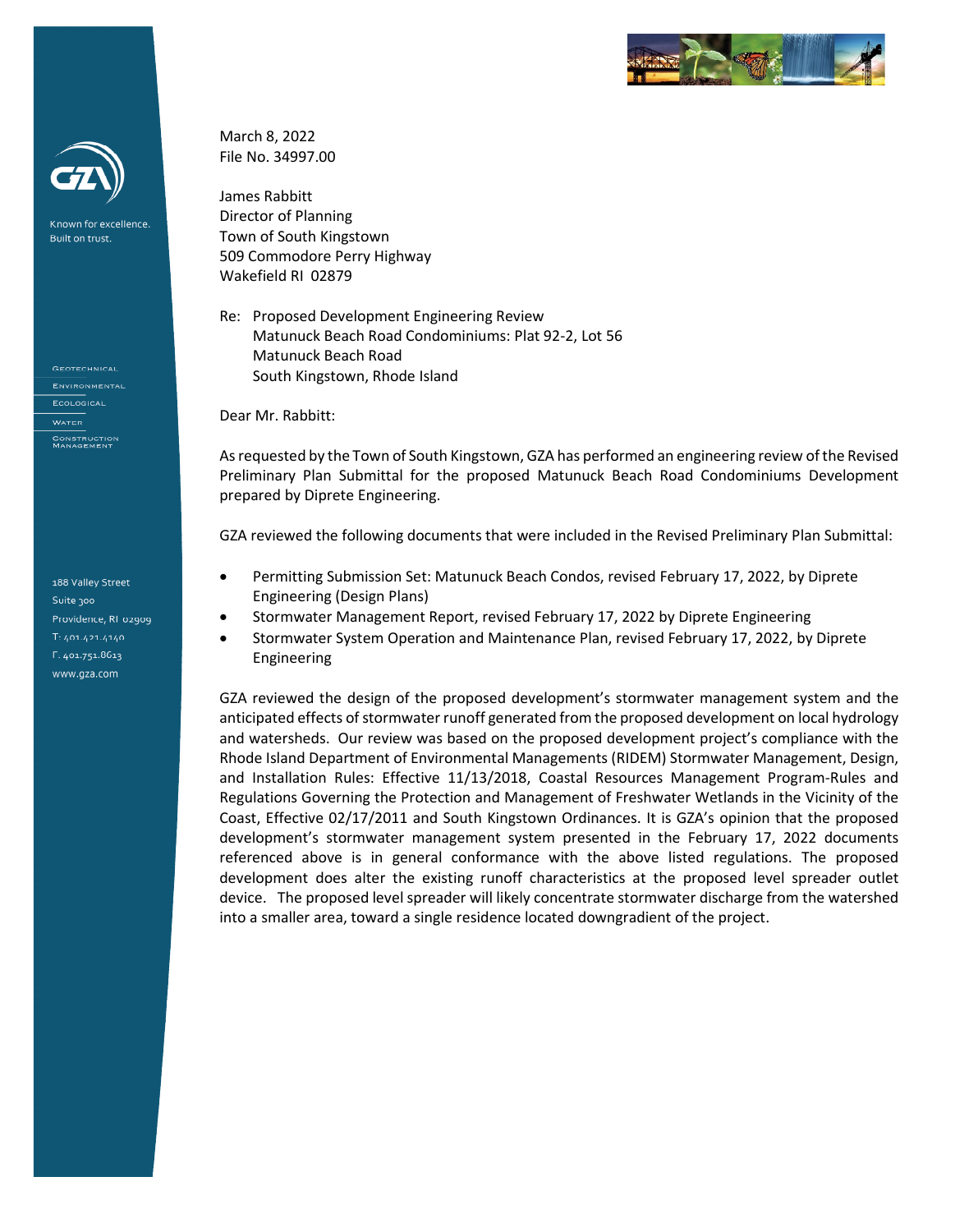

Known for excellence. Built on trust.

**GEOTECHNICAL** ENVIRONMENTAL **ECOLOGICAL** CONSTRUCTION<br>MANAGEMENT

188 Valley Street Suite 300 Providence, RI 02909  $T: 401.421.4140$ F: 401.751.8613 www.gza.com

March 8, 2022 File No. 34997.00

James Rabbitt Director of Planning Town of South Kingstown 509 Commodore Perry Highway Wakefield RI 02879

Re: Proposed Development Engineering Review Matunuck Beach Road Condominiums: Plat 92-2, Lot 56 Matunuck Beach Road South Kingstown, Rhode Island

Dear Mr. Rabbitt:

As requested by the Town of South Kingstown, GZA has performed an engineering review of the Revised Preliminary Plan Submittal for the proposed Matunuck Beach Road Condominiums Development prepared by Diprete Engineering.

GZA reviewed the following documents that were included in the Revised Preliminary Plan Submittal:

- Permitting Submission Set: Matunuck Beach Condos, revised February 17, 2022, by Diprete Engineering (Design Plans)
- Stormwater Management Report, revised February 17, 2022 by Diprete Engineering
- Stormwater System Operation and Maintenance Plan, revised February 17, 2022, by Diprete Engineering

GZA reviewed the design of the proposed development's stormwater management system and the anticipated effects of stormwater runoff generated from the proposed development on local hydrology and watersheds. Our review was based on the proposed development project's compliance with the Rhode Island Department of Environmental Managements (RIDEM) Stormwater Management, Design, and Installation Rules: Effective 11/13/2018, Coastal Resources Management Program-Rules and Regulations Governing the Protection and Management of Freshwater Wetlands in the Vicinity of the Coast, Effective 02/17/2011 and South Kingstown Ordinances. It is GZA's opinion that the proposed development's stormwater management system presented in the February 17, 2022 documents referenced above is in general conformance with the above listed regulations. The proposed development does alter the existing runoff characteristics at the proposed level spreader outlet device. The proposed level spreader will likely concentrate stormwater discharge from the watershed into a smaller area, toward a single residence located downgradient of the project.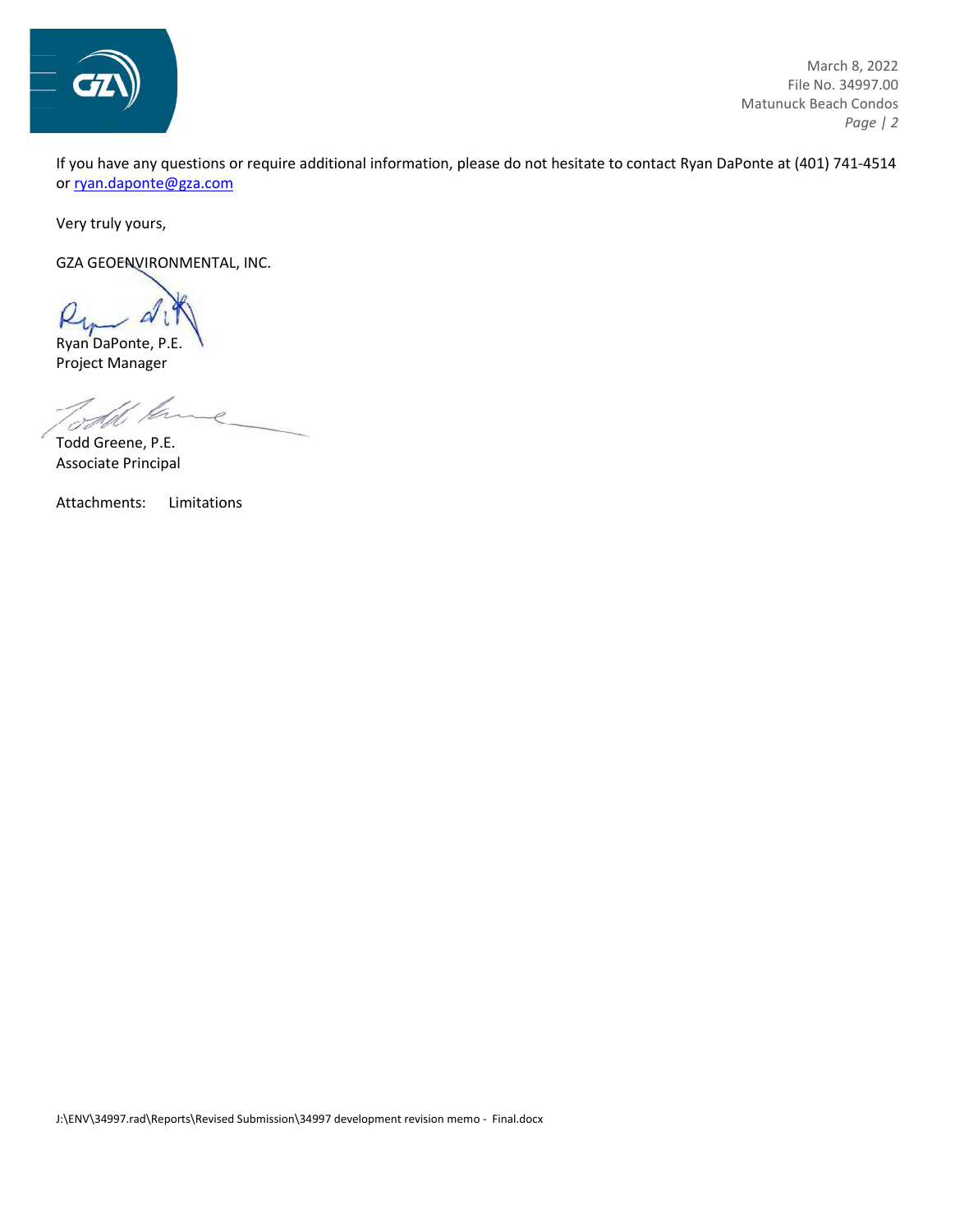

March 8, 2022 File No. 34997.00 Matunuck Beach Condos  *Page | 2* 

If you have any questions or require additional information, please do not hesitate to contact Ryan DaPonte at (401) 741-4514 o[r ryan.daponte@gza.com](mailto:ryan.daponte@gza.com) 

Very truly yours,

GZA GEOENVIRONMENTAL, INC.

Ryan DaPonte, P.E. Project Manager

Todd Greene, P.E. Associate Principal

Attachments: Limitations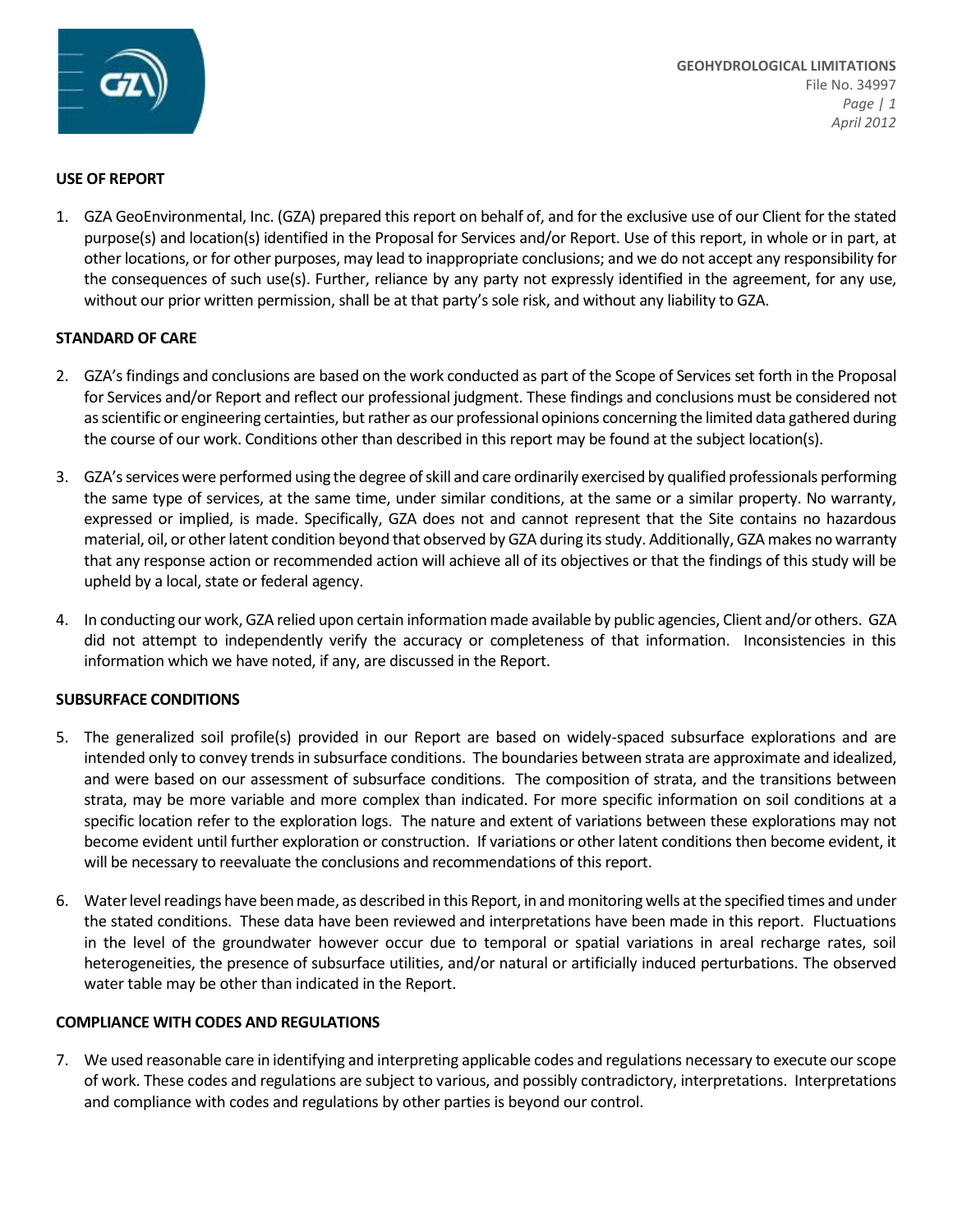

#### *Proactive by Design* **USE OF REPORT**

1. GZA GeoEnvironmental, Inc. (GZA) prepared this report on behalf of, and for the exclusive use of our Client for the stated purpose(s) and location(s) identified in the Proposal for Services and/or Report. Use of this report, in whole or in part, at other locations, or for other purposes, may lead to inappropriate conclusions; and we do not accept any responsibility for the consequences of such use(s). Further, reliance by any party not expressly identified in the agreement, for any use, without our prior written permission, shall be at that party's sole risk, and without any liability to GZA.

# **STANDARD OF CARE**

- 2. GZA's findings and conclusions are based on the work conducted as part of the Scope of Services set forth in the Proposal for Services and/or Report and reflect our professional judgment. These findings and conclusions must be considered not as scientific or engineering certainties, but rather as our professional opinions concerning the limited data gathered during the course of our work. Conditions other than described in this report may be found at the subject location(s).
- 3. GZA'sservices were performed using the degree of skill and care ordinarily exercised by qualified professionals performing the same type of services, at the same time, under similar conditions, at the same or a similar property. No warranty, expressed or implied, is made. Specifically, GZA does not and cannot represent that the Site contains no hazardous material, oil, or other latent condition beyond that observed by GZA during its study. Additionally, GZA makes no warranty that any response action or recommended action will achieve all of its objectives or that the findings of this study will be upheld by a local, state or federal agency.
- 4. In conducting our work, GZA relied upon certain information made available by public agencies, Client and/or others. GZA did not attempt to independently verify the accuracy or completeness of that information. Inconsistencies in this information which we have noted, if any, are discussed in the Report.

## **SUBSURFACE CONDITIONS**

- 5. The generalized soil profile(s) provided in our Report are based on widely-spaced subsurface explorations and are intended only to convey trends in subsurface conditions. The boundaries between strata are approximate and idealized, and were based on our assessment of subsurface conditions. The composition of strata, and the transitions between strata, may be more variable and more complex than indicated. For more specific information on soil conditions at a specific location refer to the exploration logs. The nature and extent of variations between these explorations may not become evident until further exploration or construction. If variations or other latent conditions then become evident, it will be necessary to reevaluate the conclusions and recommendations of this report.
- 6. Water level readings have been made, as described in this Report, in and monitoring wells at the specified times and under the stated conditions. These data have been reviewed and interpretations have been made in this report. Fluctuations in the level of the groundwater however occur due to temporal or spatial variations in areal recharge rates, soil heterogeneities, the presence of subsurface utilities, and/or natural or artificially induced perturbations. The observed water table may be other than indicated in the Report.

# **COMPLIANCE WITH CODES AND REGULATIONS**

7. We used reasonable care in identifying and interpreting applicable codes and regulations necessary to execute our scope of work. These codes and regulations are subject to various, and possibly contradictory, interpretations. Interpretations and compliance with codes and regulations by other parties is beyond our control.